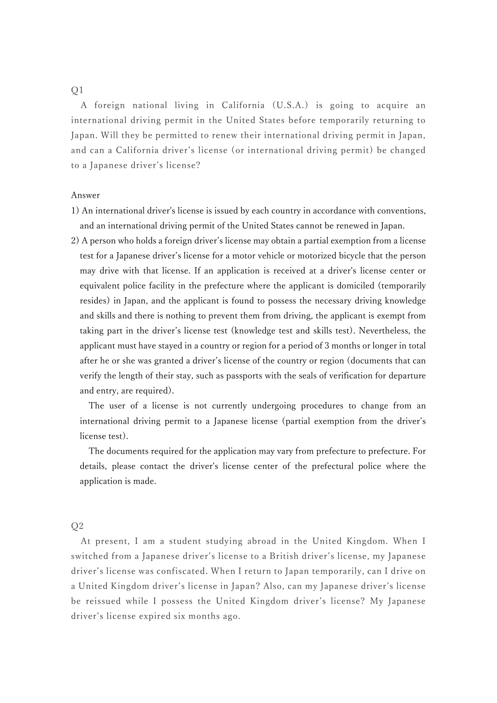## $O<sub>1</sub>$

A foreign national living in California (U.S.A.) is going to acquire an international driving permit in the United States before temporarily returning to Japan. Will they be permitted to renew their international driving permit in Japan, and can a California driver's license (or international driving permit) be changed to a Japanese driver's license?

#### Answer

- 1) An international driver's license is issued by each country in accordance with conventions, and an international driving permit of the United States cannot be renewed in Japan.
- 2) A person who holds a foreign driver's license may obtain a partial exemption from a license test for a Japanese driver's license for a motor vehicle or motorized bicycle that the person may drive with that license. If an application is received at a driver's license center or equivalent police facility in the prefecture where the applicant is domiciled (temporarily resides) in Japan, and the applicant is found to possess the necessary driving knowledge and skills and there is nothing to prevent them from driving, the applicant is exempt from taking part in the driver's license test (knowledge test and skills test). Nevertheless, the applicant must have stayed in a country or region for a period of 3 months or longer in total after he or she was granted a driver's license of the country or region (documents that can verify the length of their stay, such as passports with the seals of verification for departure and entry, are required).

The user of a license is not currently undergoing procedures to change from an international driving permit to a Japanese license (partial exemption from the driver's license test).

The documents required for the application may vary from prefecture to prefecture. For details, please contact the driver's license center of the prefectural police where the application is made.

## $Q<sub>2</sub>$

At present, I am a student studying abroad in the United Kingdom. When I switched from a Japanese driver's license to a British driver's license, my Japanese driver's license was confiscated. When I return to Japan temporarily, can I drive on a United Kingdom driver's license in Japan? Also, can my Japanese driver's license be reissued while I possess the United Kingdom driver's license? My Japanese driver's license expired six months ago.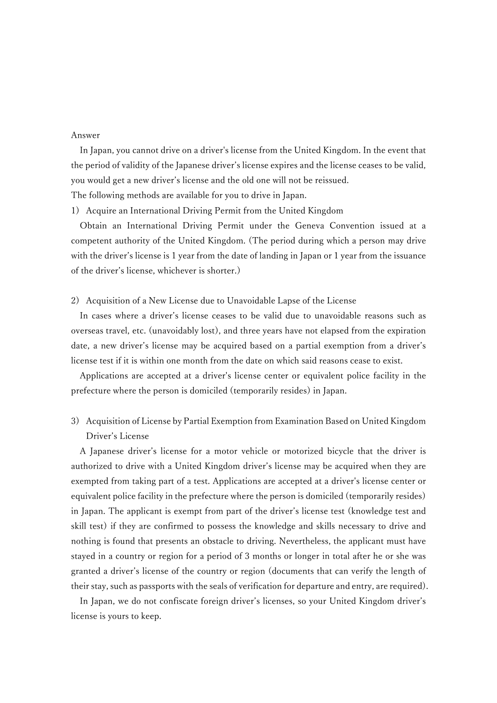#### Answer

In Japan, you cannot drive on a driver's license from the United Kingdom. In the event that the period of validity of the Japanese driver's license expires and the license ceases to be valid, you would get a new driver's license and the old one will not be reissued. The following methods are available for you to drive in Japan.

1) Acquire an International Driving Permit from the United Kingdom

Obtain an International Driving Permit under the Geneva Convention issued at a competent authority of the United Kingdom. (The period during which a person may drive with the driver's license is 1 year from the date of landing in Japan or 1 year from the issuance of the driver's license, whichever is shorter.)

### 2) Acquisition of a New License due to Unavoidable Lapse of the License

In cases where a driver's license ceases to be valid due to unavoidable reasons such as overseas travel, etc. (unavoidably lost), and three years have not elapsed from the expiration date, a new driver's license may be acquired based on a partial exemption from a driver's license test if it is within one month from the date on which said reasons cease to exist.

Applications are accepted at a driver's license center or equivalent police facility in the prefecture where the person is domiciled (temporarily resides) in Japan.

3) Acquisition of License by Partial Exemption from Examination Based on United Kingdom Driver's License

A Japanese driver's license for a motor vehicle or motorized bicycle that the driver is authorized to drive with a United Kingdom driver's license may be acquired when they are exempted from taking part of a test. Applications are accepted at a driver's license center or equivalent police facility in the prefecture where the person is domiciled (temporarily resides) in Japan. The applicant is exempt from part of the driver's license test (knowledge test and skill test) if they are confirmed to possess the knowledge and skills necessary to drive and nothing is found that presents an obstacle to driving. Nevertheless, the applicant must have stayed in a country or region for a period of 3 months or longer in total after he or she was granted a driver's license of the country or region (documents that can verify the length of their stay, such as passports with the seals of verification for departure and entry, are required).

In Japan, we do not confiscate foreign driver's licenses, so your United Kingdom driver's license is yours to keep.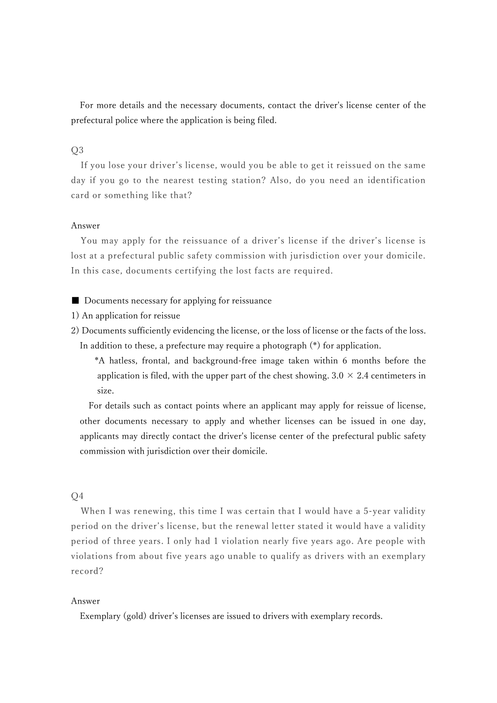For more details and the necessary documents, contact the driver's license center of the prefectural police where the application is being filed.

# Q3

If you lose your driver's license, would you be able to get it reissued on the same day if you go to the nearest testing station? Also, do you need an identification card or something like that?

### Answer

You may apply for the reissuance of a driver's license if the driver's license is lost at a prefectural public safety commission with jurisdiction over your domicile. In this case, documents certifying the lost facts are required.

### ■ Documents necessary for applying for reissuance

- 1) An application for reissue
- 2) Documents sufficiently evidencing the license, or the loss of license or the facts of the loss. In addition to these, a prefecture may require a photograph (\*) for application.

\*A hatless, frontal, and background-free image taken within 6 months before the application is filed, with the upper part of the chest showing.  $3.0 \times 2.4$  centimeters in size.

For details such as contact points where an applicant may apply for reissue of license, other documents necessary to apply and whether licenses can be issued in one day, applicants may directly contact the driver's license center of the prefectural public safety commission with jurisdiction over their domicile.

## $Q<sub>4</sub>$

When I was renewing, this time I was certain that I would have a 5-year validity period on the driver's license, but the renewal letter stated it would have a validity period of three years. I only had 1 violation nearly five years ago. Are people with violations from about five years ago unable to qualify as drivers with an exemplary record?

### Answer

Exemplary (gold) driver's licenses are issued to drivers with exemplary records.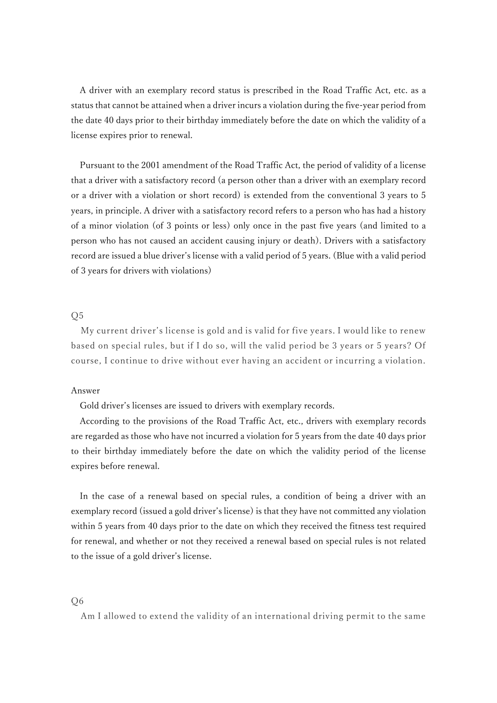A driver with an exemplary record status is prescribed in the Road Traffic Act, etc. as a status that cannot be attained when a driver incurs a violation during the five-year period from the date 40 days prior to their birthday immediately before the date on which the validity of a license expires prior to renewal.

Pursuant to the 2001 amendment of the Road Traffic Act, the period of validity of a license that a driver with a satisfactory record (a person other than a driver with an exemplary record or a driver with a violation or short record) is extended from the conventional 3 years to 5 years, in principle. A driver with a satisfactory record refers to a person who has had a history of a minor violation (of 3 points or less) only once in the past five years (and limited to a person who has not caused an accident causing injury or death). Drivers with a satisfactory record are issued a blue driver's license with a valid period of 5 years. (Blue with a valid period of 3 years for drivers with violations)

## $O<sub>5</sub>$

My current driver's license is gold and is valid for five years. I would like to renew based on special rules, but if I do so, will the valid period be 3 years or 5 years? Of course, I continue to drive without ever having an accident or incurring a violation.

### Answer

Gold driver's licenses are issued to drivers with exemplary records.

According to the provisions of the Road Traffic Act, etc., drivers with exemplary records are regarded as those who have not incurred a violation for 5 years from the date 40 days prior to their birthday immediately before the date on which the validity period of the license expires before renewal.

In the case of a renewal based on special rules, a condition of being a driver with an exemplary record (issued a gold driver's license) is that they have not committed any violation within 5 years from 40 days prior to the date on which they received the fitness test required for renewal, and whether or not they received a renewal based on special rules is not related to the issue of a gold driver's license.

### $Q<sub>6</sub>$

Am I allowed to extend the validity of an international driving permit to the same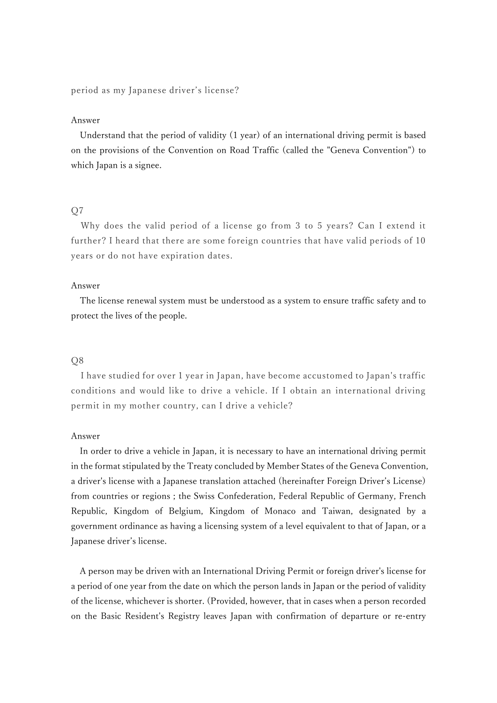period as my Japanese driver's license?

### Answer

Understand that the period of validity (1 year) of an international driving permit is based on the provisions of the Convention on Road Traffic (called the "Geneva Convention") to which Japan is a signee.

## $O7$

Why does the valid period of a license go from 3 to 5 years? Can I extend it further? I heard that there are some foreign countries that have valid periods of 10 years or do not have expiration dates.

#### Answer

The license renewal system must be understood as a system to ensure traffic safety and to protect the lives of the people.

### Q8

I have studied for over 1 year in Japan, have become accustomed to Japan's traffic conditions and would like to drive a vehicle. If I obtain an international driving permit in my mother country, can I drive a vehicle?

### Answer

In order to drive a vehicle in Japan, it is necessary to have an international driving permit in the format stipulated by the Treaty concluded by Member States of the Geneva Convention, a driver's license with a Japanese translation attached (hereinafter Foreign Driver's License) from countries or regions ; the Swiss Confederation, Federal Republic of Germany, French Republic, Kingdom of Belgium, Kingdom of Monaco and Taiwan, designated by a government ordinance as having a licensing system of a level equivalent to that of Japan, or a Japanese driver's license.

A person may be driven with an International Driving Permit or foreign driver's license for a period of one year from the date on which the person lands in Japan or the period of validity of the license, whichever is shorter. (Provided, however, that in cases when a person recorded on the Basic Resident's Registry leaves Japan with confirmation of departure or re-entry